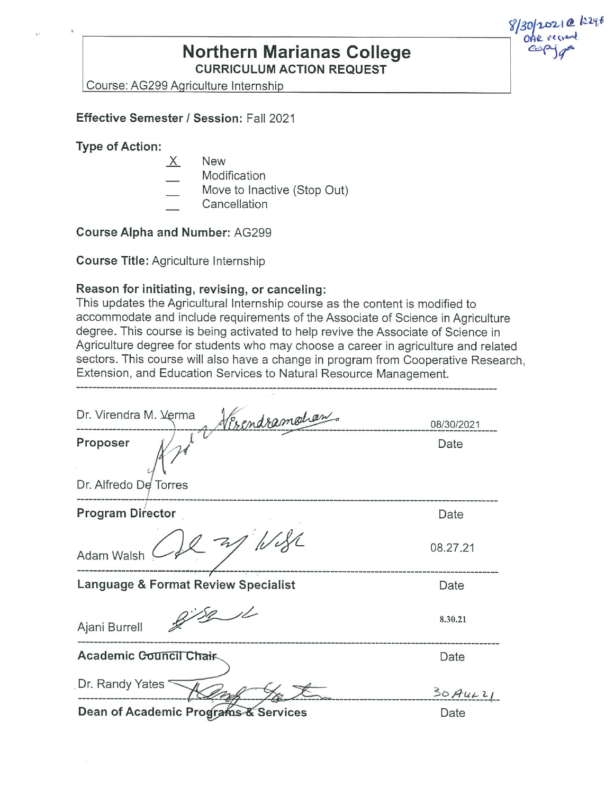## **Northern Marianas College CURRICULUM ACTION REQUEST**

Course: AG299 Aoriculture Internship

#### **Effective Semester/ Session:** Fall 2021

#### **Type of Action:**

- X New
	- Modification
- Move to Inactive (Stop Out)
- **Cancellation**

**Course Alpha and Number:** AG299

**Course Title:** Agriculture Internship

#### **Reason for initiating, revising, or canceling:**

This updates the Agricultural Internship course as the content is modified to accommodate and include requirements of the Associate of Science in Agriculture degree. This course is being activated to help revive the Associate of Science in Agriculture degree for students who may choose a career in agriculture and related sectors. This course will also have a change in program from Cooperative Research, Extension, and Education Services to Natural Resource Management. ·-------------------------------------·----------------------------------------------

| <u> Herendramohan.</u><br>Dr. Virendra M. Verma | 08/30/2021 |
|-------------------------------------------------|------------|
| Proposer                                        | Date       |
| Dr. Alfredo De Torres                           |            |
| <b>Program Director</b>                         | Date       |
| $12 - 37$<br>Adam Walsh                         | 08.27.21   |
| Language & Format Review Specialist             | Date       |
| Ajani Burrell                                   | 8.30.21    |
| Academic Council Chair                          | Date       |
| Dr. Randy Yates                                 | $30$ AuLZI |
| Dean of Academic Programs & Services            | Date       |

Dean of Academic Programs & Services

 $8/30/2021$  @  $129f$  $\overline{\phantom{a}}$  one region ~tr"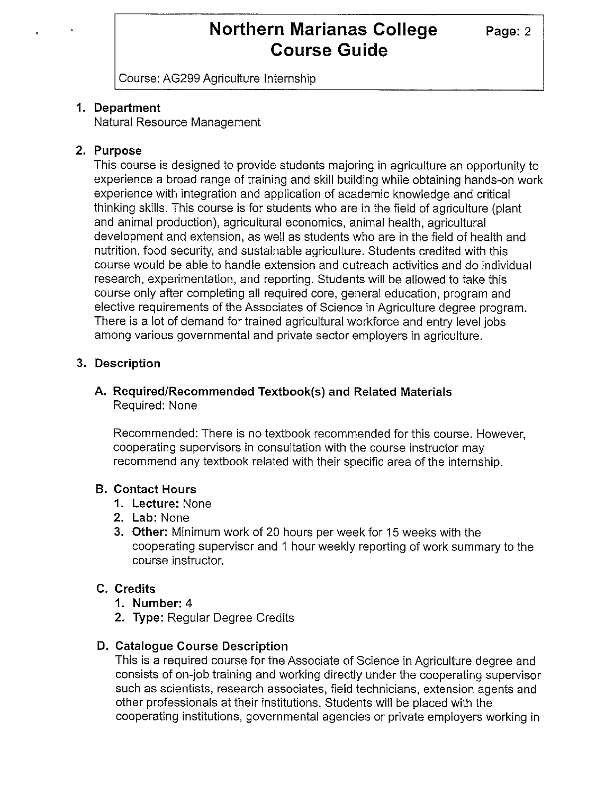Course: AG299 Agriculture Internship

### **1. Department**

Natural Resource Management

### **2. Purpose**

This course is designed to provide students majoring in agriculture an opportunity to experience a broad range of training and skill building while obtaining hands-on work experience with integration and application of academic knowledge and critical thinking skills. This course is for students who are in the field of agriculture (plant and animal production), agricultural economics, animal health, agricultural development and extension, as well as students who are in the field of health and nutrition, food security, and sustainable agriculture. Students credited with this course would be able to handle extension and outreach activities and do individual research, experimentation, and reporting. Students will be allowed to take this course only after completing all required core, general education, program and elective requirements of the Associates of Science in Agriculture degree program. There is a lot of demand for trained agricultural workforce and entry level jobs among various governmental and private sector employers in agriculture.

### **3. Description**

#### **A. Required/Recommended Textbook(s) and Related Materials**  Required: None

Recommended: There is no textbook recommended for this course. However, cooperating supervisors in consultation with the course instructor may recommend any textbook related with their specific area of the internship.

### **B. Contact Hours**

- **1. Lecture:** None
- **2. Lab:** None
- **3. Other:** Minimum work of 20 hours per week for 15 weeks with the cooperating supervisor and 1 hour weekly reporting of work summary to the course instructor.

### **C. Credits**

- **1. Number:** 4
- **2. Type:** Regular Degree Credits

### **D. Catalogue Course Description**

This is a required course for the Associate of Science in Agriculture degree and consists of on-job training and working directly under the cooperating supervisor such as scientists, research associates, field technicians, extension agents and other professionals at their institutions. Students will be placed with the cooperating institutions, governmental agencies or private employers working in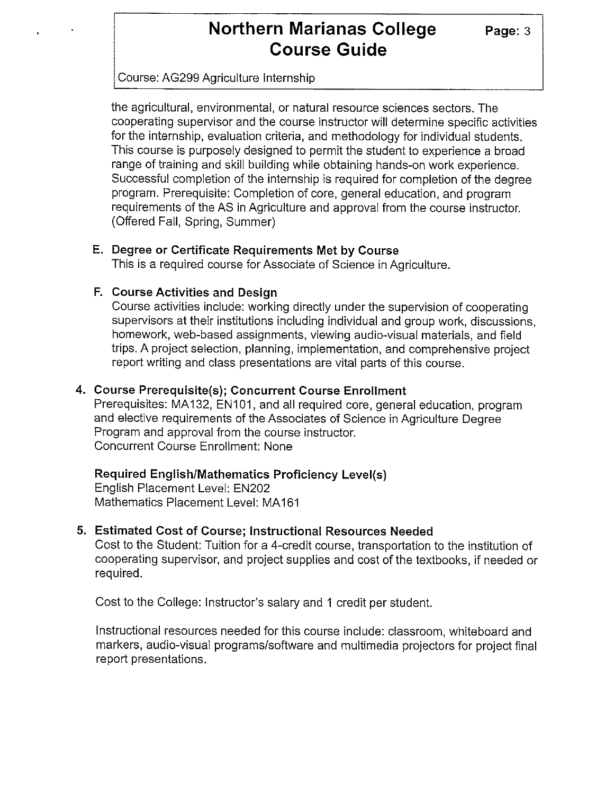#### Course: AG299 Agriculture Internship

the agricultural, environmental, or natural resource sciences sectors. The cooperating supervisor and the course instructor will determine specific activities for the internship, evaluation criteria, and methodology for individual students. This course is purposely designed to permit the student to experience a broad range of training and skill building while obtaining hands-on work experience. Successful completion of the internship is required for completion of the degree program. Prerequisite: Completion of core, general education, and program requirements of the AS in Agriculture and approval from the course instructor. (Offered Fall, Spring, Summer)

#### **E. Degree or Certificate Requirements Met by Course**

This is a required course for Associate of Science in Agriculture.

#### **F. Course Activities and Design**

Course activities include: working directly under the supervision of cooperating supervisors at their institutions including individual and group work, discussions, homework, web-based assignments, viewing audio-visual materials, and field trips. A project selection, planning, implementation, and comprehensive project report writing and class presentations are vital parts of this course.

#### **4. Course Prerequisite(s); Concurrent Course Enrollment**

Prerequisites: MA132, EN101, and all required core, general education, program and elective requirements of the Associates of Science in Agriculture Degree Program and approval from the course instructor. Concurrent Course Enrollment: None

#### **Required English/Mathematics Proficiency Level(s)**

English Placement Level: EN202 Mathematics Placement Level: MA161

#### **5. Estimated Cost of Course; Instructional Resources Needed**

Cost to the Student: Tuition for a 4-credit course, transportation to the institution of cooperating supervisor, and project supplies and cost of the textbooks, if needed or required.

Cost to the College: Instructor's salary and 1 credit per student.

Instructional resources needed for this course include: classroom, whiteboard and markers, audio-visual programs/software and multimedia projectors for project final report presentations.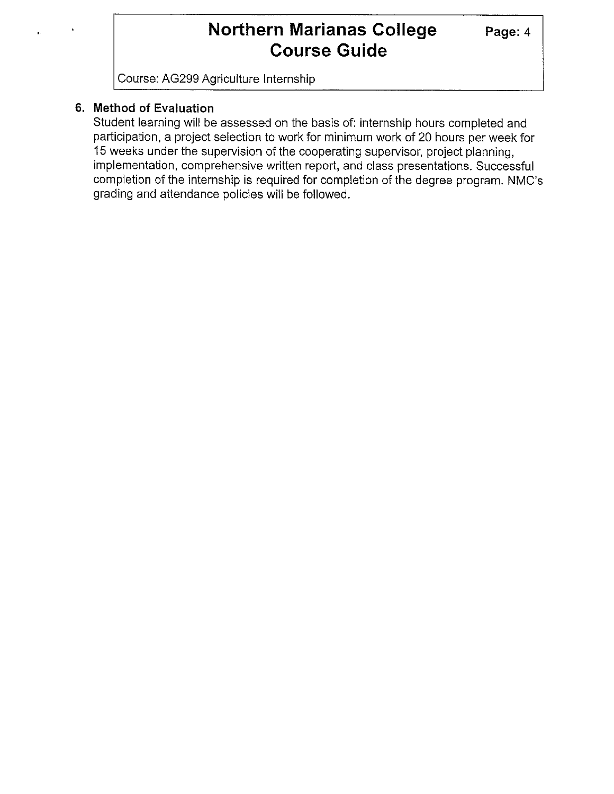Course: AG299 Agriculture Internship

### **6. Method of Evaluation**

Student learning will be assessed on the basis of: internship hours completed and participation, a project selection to work for minimum work of 20 hours per week for 15 weeks under the supervision of the cooperating supervisor, project planning, implementation, comprehensive written report, and class presentations. Successful completion of the internship is required for completion of the degree program. NMC's grading and attendance policies will be followed.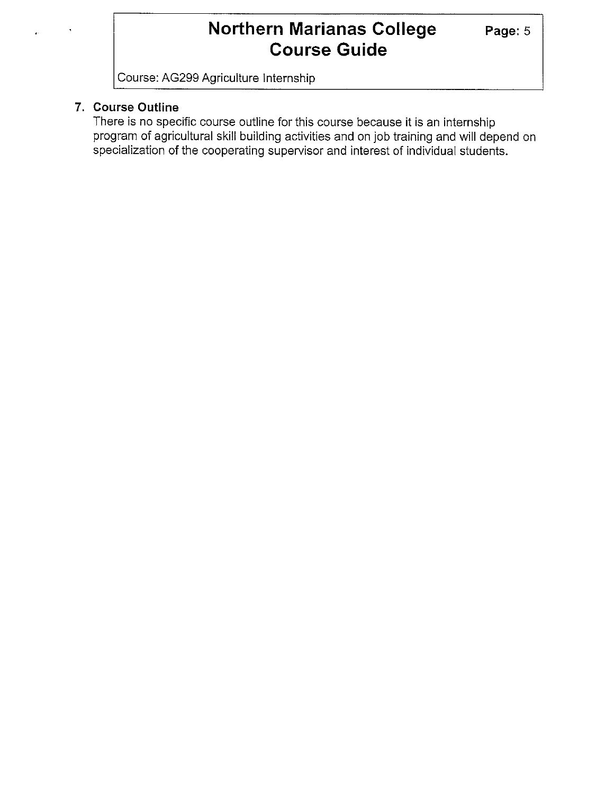Course: AG299 Agriculture Internship

## **7. Course Outline**

There is no specific course outline for this course because it is an internship program of agricultural skill building activities and on job training and will depend on specialization of the cooperating supervisor and interest of individual students.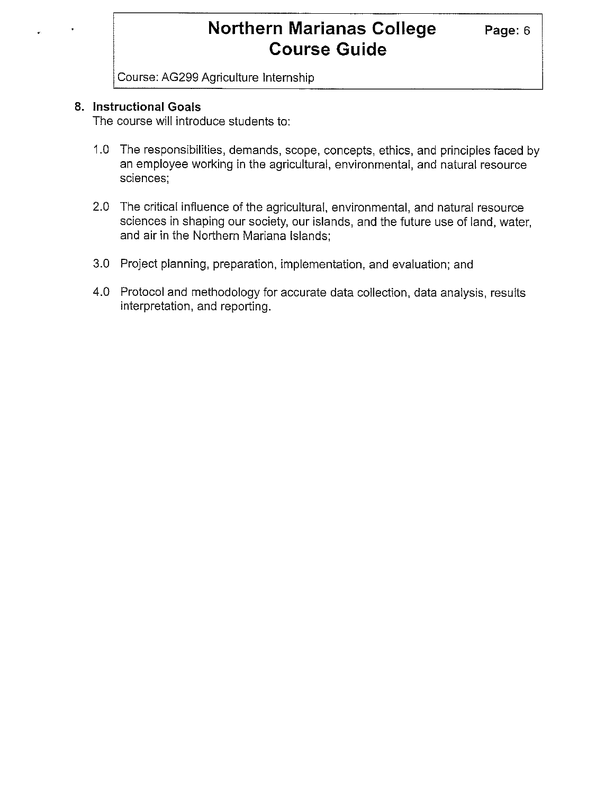Course: AG299 Agriculture Internship

#### **8. Instructional Goals**

The course will introduce students to:

- 1.0 The responsibilities, demands, scope, concepts, ethics, and principles faced by an employee working in the agricultural, environmental, and natural resource sciences;
- 2.0 The critical influence of the agricultural, environmental, and natural resource sciences in shaping our society, our islands, and the future use of land, water, and air in the Northern Mariana Islands;
- 3.0 Project planning, preparation, implementation, and evaluation; and
- 4.0 Protocol and methodology for accurate data collection, data analysis, results interpretation, and reporting.